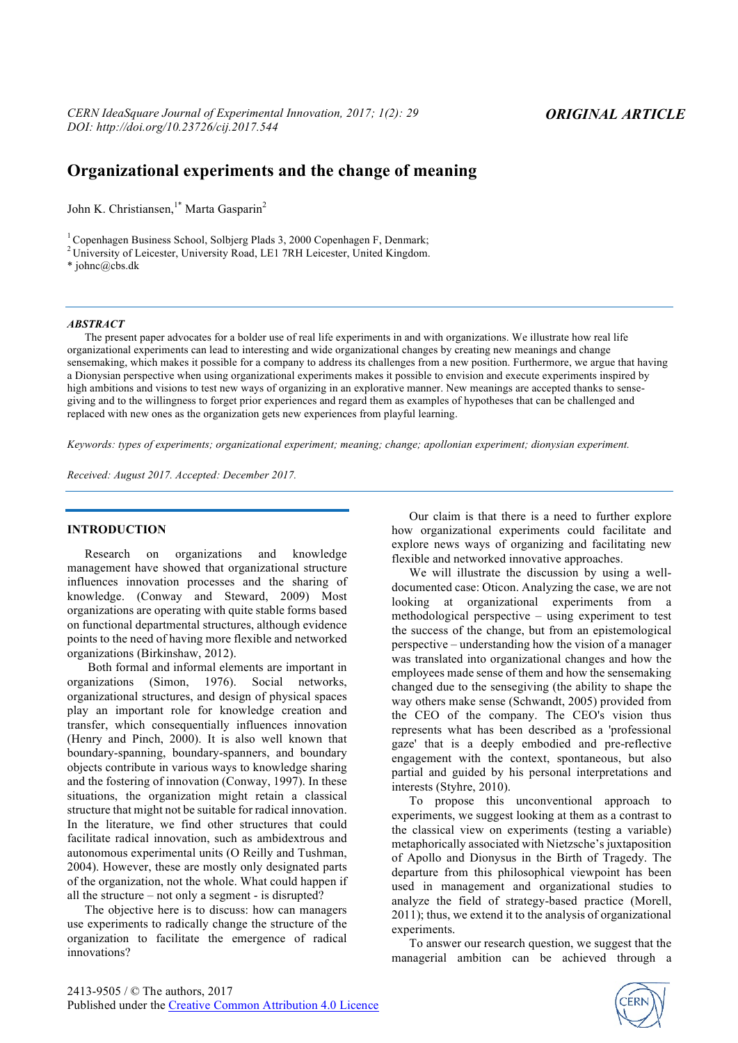# **Organizational experiments and the change of meaning**

John K. Christiansen,<sup>1\*</sup> Marta Gasparin<sup>2</sup>

<sup>1</sup> Copenhagen Business School, Solbjerg Plads 3, 2000 Copenhagen F, Denmark; 2 University of Leicester, University Road, LE1 7RH Leicester, United Kingdom.

\* johnc@cbs.dk

### *ABSTRACT*

The present paper advocates for a bolder use of real life experiments in and with organizations. We illustrate how real life organizational experiments can lead to interesting and wide organizational changes by creating new meanings and change sensemaking, which makes it possible for a company to address its challenges from a new position. Furthermore, we argue that having a Dionysian perspective when using organizational experiments makes it possible to envision and execute experiments inspired by high ambitions and visions to test new ways of organizing in an explorative manner. New meanings are accepted thanks to sensegiving and to the willingness to forget prior experiences and regard them as examples of hypotheses that can be challenged and replaced with new ones as the organization gets new experiences from playful learning.

*Keywords: types of experiments; organizational experiment; meaning; change; apollonian experiment; dionysian experiment.*

*Received: August 2017. Accepted: December 2017.*

# **INTRODUCTION**

Research on organizations and knowledge management have showed that organizational structure influences innovation processes and the sharing of knowledge. (Conway and Steward, 2009) Most organizations are operating with quite stable forms based on functional departmental structures, although evidence points to the need of having more flexible and networked organizations (Birkinshaw, 2012).

Both formal and informal elements are important in organizations (Simon, 1976). Social networks, organizational structures, and design of physical spaces play an important role for knowledge creation and transfer, which consequentially influences innovation (Henry and Pinch, 2000). It is also well known that boundary-spanning, boundary-spanners, and boundary objects contribute in various ways to knowledge sharing and the fostering of innovation (Conway, 1997). In these situations, the organization might retain a classical structure that might not be suitable for radical innovation. In the literature, we find other structures that could facilitate radical innovation, such as ambidextrous and autonomous experimental units (O Reilly and Tushman, 2004). However, these are mostly only designated parts of the organization, not the whole. What could happen if all the structure – not only a segment - is disrupted?

The objective here is to discuss: how can managers use experiments to radically change the structure of the organization to facilitate the emergence of radical innovations?

Our claim is that there is a need to further explore how organizational experiments could facilitate and explore news ways of organizing and facilitating new flexible and networked innovative approaches.

We will illustrate the discussion by using a welldocumented case: Oticon. Analyzing the case, we are not looking at organizational experiments from a methodological perspective – using experiment to test the success of the change, but from an epistemological perspective – understanding how the vision of a manager was translated into organizational changes and how the employees made sense of them and how the sensemaking changed due to the sensegiving (the ability to shape the way others make sense (Schwandt, 2005) provided from the CEO of the company. The CEO's vision thus represents what has been described as a 'professional gaze' that is a deeply embodied and pre-reflective engagement with the context, spontaneous, but also partial and guided by his personal interpretations and interests (Styhre, 2010).

To propose this unconventional approach to experiments, we suggest looking at them as a contrast to the classical view on experiments (testing a variable) metaphorically associated with Nietzsche's juxtaposition of Apollo and Dionysus in the Birth of Tragedy. The departure from this philosophical viewpoint has been used in management and organizational studies to analyze the field of strategy-based practice (Morell, 2011); thus, we extend it to the analysis of organizational experiments.

To answer our research question, we suggest that the managerial ambition can be achieved through a

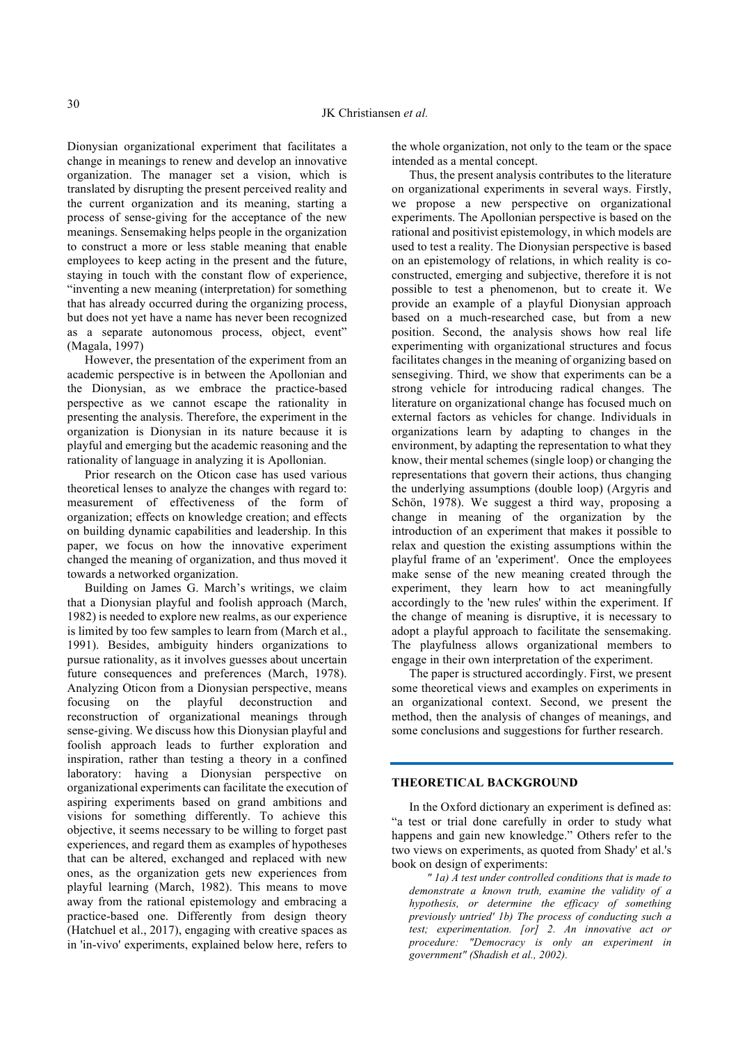Dionysian organizational experiment that facilitates a change in meanings to renew and develop an innovative organization. The manager set a vision, which is translated by disrupting the present perceived reality and the current organization and its meaning, starting a process of sense-giving for the acceptance of the new meanings. Sensemaking helps people in the organization to construct a more or less stable meaning that enable employees to keep acting in the present and the future, staying in touch with the constant flow of experience, "inventing a new meaning (interpretation) for something that has already occurred during the organizing process, but does not yet have a name has never been recognized as a separate autonomous process, object, event" (Magala, 1997)

However, the presentation of the experiment from an academic perspective is in between the Apollonian and the Dionysian, as we embrace the practice-based perspective as we cannot escape the rationality in presenting the analysis. Therefore, the experiment in the organization is Dionysian in its nature because it is playful and emerging but the academic reasoning and the rationality of language in analyzing it is Apollonian.

Prior research on the Oticon case has used various theoretical lenses to analyze the changes with regard to: measurement of effectiveness of the form of organization; effects on knowledge creation; and effects on building dynamic capabilities and leadership. In this paper, we focus on how the innovative experiment changed the meaning of organization, and thus moved it towards a networked organization.

Building on James G. March's writings, we claim that a Dionysian playful and foolish approach (March, 1982) is needed to explore new realms, as our experience is limited by too few samples to learn from (March et al., 1991). Besides, ambiguity hinders organizations to pursue rationality, as it involves guesses about uncertain future consequences and preferences (March, 1978). Analyzing Oticon from a Dionysian perspective, means focusing on the playful deconstruction and reconstruction of organizational meanings through sense-giving. We discuss how this Dionysian playful and foolish approach leads to further exploration and inspiration, rather than testing a theory in a confined laboratory: having a Dionysian perspective on organizational experiments can facilitate the execution of aspiring experiments based on grand ambitions and visions for something differently. To achieve this objective, it seems necessary to be willing to forget past experiences, and regard them as examples of hypotheses that can be altered, exchanged and replaced with new ones, as the organization gets new experiences from playful learning (March, 1982). This means to move away from the rational epistemology and embracing a practice-based one. Differently from design theory (Hatchuel et al., 2017), engaging with creative spaces as in 'in-vivo' experiments, explained below here, refers to the whole organization, not only to the team or the space intended as a mental concept.

Thus, the present analysis contributes to the literature on organizational experiments in several ways. Firstly, we propose a new perspective on organizational experiments. The Apollonian perspective is based on the rational and positivist epistemology, in which models are used to test a reality. The Dionysian perspective is based on an epistemology of relations, in which reality is coconstructed, emerging and subjective, therefore it is not possible to test a phenomenon, but to create it. We provide an example of a playful Dionysian approach based on a much-researched case, but from a new position. Second, the analysis shows how real life experimenting with organizational structures and focus facilitates changes in the meaning of organizing based on sensegiving. Third, we show that experiments can be a strong vehicle for introducing radical changes. The literature on organizational change has focused much on external factors as vehicles for change. Individuals in organizations learn by adapting to changes in the environment, by adapting the representation to what they know, their mental schemes (single loop) or changing the representations that govern their actions, thus changing the underlying assumptions (double loop) (Argyris and Schön, 1978). We suggest a third way, proposing a change in meaning of the organization by the introduction of an experiment that makes it possible to relax and question the existing assumptions within the playful frame of an 'experiment'. Once the employees make sense of the new meaning created through the experiment, they learn how to act meaningfully accordingly to the 'new rules' within the experiment. If the change of meaning is disruptive, it is necessary to adopt a playful approach to facilitate the sensemaking. The playfulness allows organizational members to engage in their own interpretation of the experiment.

The paper is structured accordingly. First, we present some theoretical views and examples on experiments in an organizational context. Second, we present the method, then the analysis of changes of meanings, and some conclusions and suggestions for further research.

## **THEORETICAL BACKGROUND**

In the Oxford dictionary an experiment is defined as: "a test or trial done carefully in order to study what happens and gain new knowledge." Others refer to the two views on experiments, as quoted from Shady' et al.'s book on design of experiments:

*" 1a) A test under controlled conditions that is made to demonstrate a known truth, examine the validity of a hypothesis, or determine the efficacy of something previously untried' 1b) The process of conducting such a test; experimentation. [or] 2. An innovative act or procedure: "Democracy is only an experiment in government" (Shadish et al., 2002).*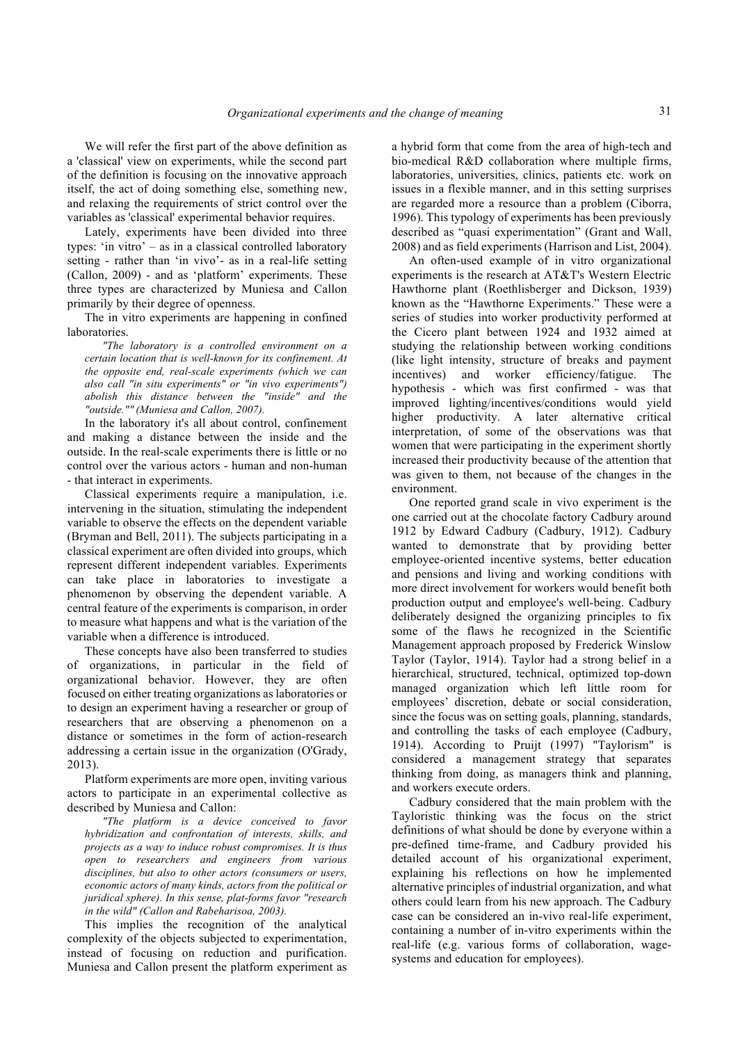We will refer the first part of the above definition as a 'classical' view on experiments, while the second part of the definition is focusing on the innovative approach itself, the act of doing something else, something new, and relaxing the requirements of strict control over the variables as 'classical' experimental behavior requires.

Lately, experiments have been divided into three types: 'in vitro' – as in a classical controlled laboratory setting - rather than 'in vivo'- as in a real-life setting (Callon, 2009) - and as 'platform' experiments. These three types are characterized by Muniesa and Callon primarily by their degree of openness.

The in vitro experiments are happening in confined laboratories.

*"The laboratory is a controlled environment on a certain location that is well-known for its confinement. At the opposite end, real-scale experiments (which we can also call "in situ experiments" or "in vivo experiments") abolish this distance between the "inside" and the "outside."" (Muniesa and Callon, 2007).*

In the laboratory it's all about control, confinement and making a distance between the inside and the outside. In the real-scale experiments there is little or no control over the various actors - human and non-human - that interact in experiments.

Classical experiments require a manipulation, i.e. intervening in the situation, stimulating the independent variable to observe the effects on the dependent variable (Bryman and Bell, 2011). The subjects participating in a classical experiment are often divided into groups, which represent different independent variables. Experiments can take place in laboratories to investigate a phenomenon by observing the dependent variable. A central feature of the experiments is comparison, in order to measure what happens and what is the variation of the variable when a difference is introduced.

These concepts have also been transferred to studies of organizations, in particular in the field of organizational behavior. However, they are often focused on either treating organizations as laboratories or to design an experiment having a researcher or group of researchers that are observing a phenomenon on a distance or sometimes in the form of action-research addressing a certain issue in the organization (O'Grady, 2013).

Platform experiments are more open, inviting various actors to participate in an experimental collective as described by Muniesa and Callon:

*"The platform is a device conceived to favor hybridization and confrontation of interests, skills, and projects as a way to induce robust compromises. It is thus open to researchers and engineers from various disciplines, but also to other actors (consumers or users, economic actors of many kinds, actors from the political or juridical sphere). In this sense, plat-forms favor "research in the wild" (Callon and Rabeharisoa, 2003).* 

This implies the recognition of the analytical complexity of the objects subjected to experimentation, instead of focusing on reduction and purification. Muniesa and Callon present the platform experiment as a hybrid form that come from the area of high-tech and bio-medical R&D collaboration where multiple firms, laboratories, universities, clinics, patients etc. work on issues in a flexible manner, and in this setting surprises are regarded more a resource than a problem (Ciborra, 1996). This typology of experiments has been previously described as "quasi experimentation" (Grant and Wall, 2008) and as field experiments (Harrison and List, 2004).

An often-used example of in vitro organizational experiments is the research at AT&T's Western Electric Hawthorne plant (Roethlisberger and Dickson, 1939) known as the "Hawthorne Experiments." These were a series of studies into worker productivity performed at the Cicero plant between 1924 and 1932 aimed at studying the relationship between working conditions (like light intensity, structure of breaks and payment incentives) and worker efficiency/fatigue. The hypothesis - which was first confirmed - was that improved lighting/incentives/conditions would yield higher productivity. A later alternative critical interpretation, of some of the observations was that women that were participating in the experiment shortly increased their productivity because of the attention that was given to them, not because of the changes in the environment.

One reported grand scale in vivo experiment is the one carried out at the chocolate factory Cadbury around 1912 by Edward Cadbury (Cadbury, 1912). Cadbury wanted to demonstrate that by providing better employee-oriented incentive systems, better education and pensions and living and working conditions with more direct involvement for workers would benefit both production output and employee's well-being. Cadbury deliberately designed the organizing principles to fix some of the flaws he recognized in the Scientific Management approach proposed by Frederick Winslow Taylor (Taylor, 1914). Taylor had a strong belief in a hierarchical, structured, technical, optimized top-down managed organization which left little room for employees' discretion, debate or social consideration, since the focus was on setting goals, planning, standards, and controlling the tasks of each employee (Cadbury, 1914). According to Pruijt (1997) "Taylorism" is considered a management strategy that separates thinking from doing, as managers think and planning, and workers execute orders.

Cadbury considered that the main problem with the Tayloristic thinking was the focus on the strict definitions of what should be done by everyone within a pre-defined time-frame, and Cadbury provided his detailed account of his organizational experiment, explaining his reflections on how he implemented alternative principles of industrial organization, and what others could learn from his new approach. The Cadbury case can be considered an in-vivo real-life experiment, containing a number of in-vitro experiments within the real-life (e.g. various forms of collaboration, wagesystems and education for employees).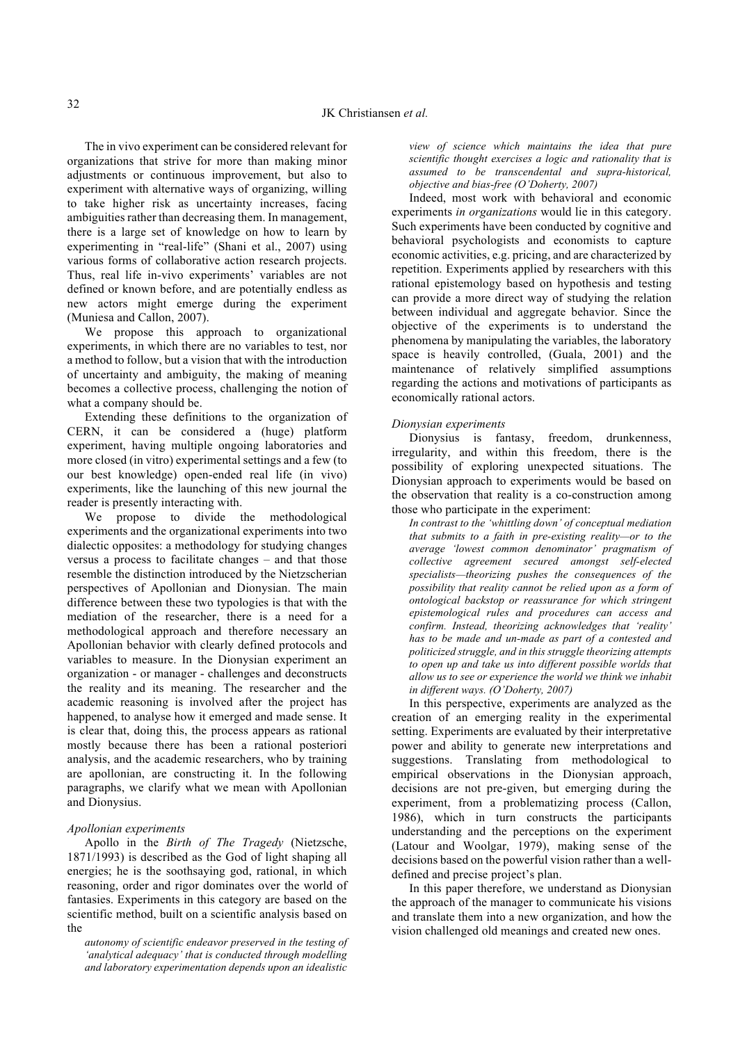The in vivo experiment can be considered relevant for organizations that strive for more than making minor adjustments or continuous improvement, but also to experiment with alternative ways of organizing, willing to take higher risk as uncertainty increases, facing ambiguities rather than decreasing them. In management, there is a large set of knowledge on how to learn by experimenting in "real-life" (Shani et al., 2007) using various forms of collaborative action research projects. Thus, real life in-vivo experiments' variables are not defined or known before, and are potentially endless as new actors might emerge during the experiment (Muniesa and Callon, 2007).

We propose this approach to organizational experiments, in which there are no variables to test, nor a method to follow, but a vision that with the introduction of uncertainty and ambiguity, the making of meaning becomes a collective process, challenging the notion of what a company should be.

Extending these definitions to the organization of CERN, it can be considered a (huge) platform experiment, having multiple ongoing laboratories and more closed (in vitro) experimental settings and a few (to our best knowledge) open-ended real life (in vivo) experiments, like the launching of this new journal the reader is presently interacting with.

We propose to divide the methodological experiments and the organizational experiments into two dialectic opposites: a methodology for studying changes versus a process to facilitate changes – and that those resemble the distinction introduced by the Nietzscherian perspectives of Apollonian and Dionysian. The main difference between these two typologies is that with the mediation of the researcher, there is a need for a methodological approach and therefore necessary an Apollonian behavior with clearly defined protocols and variables to measure. In the Dionysian experiment an organization - or manager - challenges and deconstructs the reality and its meaning. The researcher and the academic reasoning is involved after the project has happened, to analyse how it emerged and made sense. It is clear that, doing this, the process appears as rational mostly because there has been a rational posteriori analysis, and the academic researchers, who by training are apollonian, are constructing it. In the following paragraphs, we clarify what we mean with Apollonian and Dionysius.

#### *Apollonian experiments*

Apollo in the *Birth of The Tragedy* (Nietzsche, 1871/1993) is described as the God of light shaping all energies; he is the soothsaying god, rational, in which reasoning, order and rigor dominates over the world of fantasies. Experiments in this category are based on the scientific method, built on a scientific analysis based on the

*autonomy of scientific endeavor preserved in the testing of 'analytical adequacy' that is conducted through modelling and laboratory experimentation depends upon an idealistic*

*view of science which maintains the idea that pure scientific thought exercises a logic and rationality that is assumed to be transcendental and supra-historical, objective and bias-free (O'Doherty, 2007)*

Indeed, most work with behavioral and economic experiments *in organizations* would lie in this category. Such experiments have been conducted by cognitive and behavioral psychologists and economists to capture economic activities, e.g. pricing, and are characterized by repetition. Experiments applied by researchers with this rational epistemology based on hypothesis and testing can provide a more direct way of studying the relation between individual and aggregate behavior. Since the objective of the experiments is to understand the phenomena by manipulating the variables, the laboratory space is heavily controlled, (Guala, 2001) and the maintenance of relatively simplified assumptions regarding the actions and motivations of participants as economically rational actors.

#### *Dionysian experiments*

Dionysius is fantasy, freedom, drunkenness, irregularity, and within this freedom, there is the possibility of exploring unexpected situations. The Dionysian approach to experiments would be based on the observation that reality is a co-construction among those who participate in the experiment:

*In contrast to the 'whittling down' of conceptual mediation that submits to a faith in pre-existing reality—or to the average 'lowest common denominator' pragmatism of collective agreement secured amongst self-elected specialists—theorizing pushes the consequences of the possibility that reality cannot be relied upon as a form of ontological backstop or reassurance for which stringent epistemological rules and procedures can access and confirm. Instead, theorizing acknowledges that 'reality' has to be made and un-made as part of a contested and politicized struggle, and in this struggle theorizing attempts to open up and take us into different possible worlds that allow us to see or experience the world we think we inhabit in different ways. (O'Doherty, 2007)*

In this perspective, experiments are analyzed as the creation of an emerging reality in the experimental setting. Experiments are evaluated by their interpretative power and ability to generate new interpretations and suggestions. Translating from methodological to empirical observations in the Dionysian approach, decisions are not pre-given, but emerging during the experiment, from a problematizing process (Callon, 1986), which in turn constructs the participants understanding and the perceptions on the experiment (Latour and Woolgar, 1979), making sense of the decisions based on the powerful vision rather than a welldefined and precise project's plan.

In this paper therefore, we understand as Dionysian the approach of the manager to communicate his visions and translate them into a new organization, and how the vision challenged old meanings and created new ones.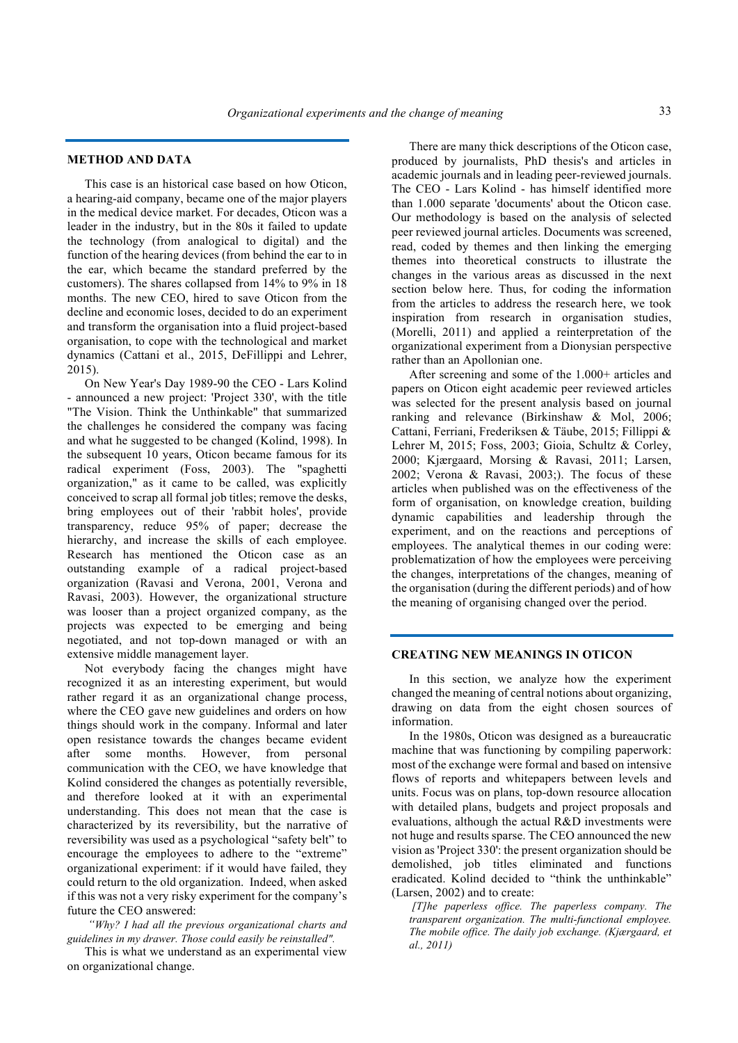## **METHOD AND DATA**

This case is an historical case based on how Oticon, a hearing-aid company, became one of the major players in the medical device market. For decades, Oticon was a leader in the industry, but in the 80s it failed to update the technology (from analogical to digital) and the function of the hearing devices (from behind the ear to in the ear, which became the standard preferred by the customers). The shares collapsed from 14% to 9% in 18 months. The new CEO, hired to save Oticon from the decline and economic loses, decided to do an experiment and transform the organisation into a fluid project-based organisation, to cope with the technological and market dynamics (Cattani et al., 2015, DeFillippi and Lehrer, 2015).

On New Year's Day 1989-90 the CEO - Lars Kolind - announced a new project: 'Project 330', with the title "The Vision. Think the Unthinkable" that summarized the challenges he considered the company was facing and what he suggested to be changed (Kolind, 1998). In the subsequent 10 years, Oticon became famous for its radical experiment (Foss, 2003). The "spaghetti organization," as it came to be called, was explicitly conceived to scrap all formal job titles; remove the desks, bring employees out of their 'rabbit holes', provide transparency, reduce 95% of paper; decrease the hierarchy, and increase the skills of each employee. Research has mentioned the Oticon case as an outstanding example of a radical project-based organization (Ravasi and Verona, 2001, Verona and Ravasi, 2003). However, the organizational structure was looser than a project organized company, as the projects was expected to be emerging and being negotiated, and not top-down managed or with an extensive middle management layer.

Not everybody facing the changes might have recognized it as an interesting experiment, but would rather regard it as an organizational change process, where the CEO gave new guidelines and orders on how things should work in the company. Informal and later open resistance towards the changes became evident after some months. However, from personal communication with the CEO, we have knowledge that Kolind considered the changes as potentially reversible, and therefore looked at it with an experimental understanding. This does not mean that the case is characterized by its reversibility, but the narrative of reversibility was used as a psychological "safety belt" to encourage the employees to adhere to the "extreme" organizational experiment: if it would have failed, they could return to the old organization. Indeed, when asked if this was not a very risky experiment for the company's future the CEO answered:

*"Why? I had all the previous organizational charts and guidelines in my drawer. Those could easily be reinstalled".* 

This is what we understand as an experimental view on organizational change.

There are many thick descriptions of the Oticon case, produced by journalists, PhD thesis's and articles in academic journals and in leading peer-reviewed journals. The CEO - Lars Kolind - has himself identified more than 1.000 separate 'documents' about the Oticon case. Our methodology is based on the analysis of selected peer reviewed journal articles. Documents was screened, read, coded by themes and then linking the emerging themes into theoretical constructs to illustrate the changes in the various areas as discussed in the next section below here. Thus, for coding the information from the articles to address the research here, we took inspiration from research in organisation studies, (Morelli, 2011) and applied a reinterpretation of the organizational experiment from a Dionysian perspective rather than an Apollonian one.

After screening and some of the 1.000+ articles and papers on Oticon eight academic peer reviewed articles was selected for the present analysis based on journal ranking and relevance (Birkinshaw & Mol, 2006; Cattani, Ferriani, Frederiksen & Täube, 2015; Fillippi & Lehrer M, 2015; Foss, 2003; Gioia, Schultz & Corley, 2000; Kjærgaard, Morsing & Ravasi, 2011; Larsen, 2002; Verona & Ravasi, 2003;). The focus of these articles when published was on the effectiveness of the form of organisation, on knowledge creation, building dynamic capabilities and leadership through the experiment, and on the reactions and perceptions of employees. The analytical themes in our coding were: problematization of how the employees were perceiving the changes, interpretations of the changes, meaning of the organisation (during the different periods) and of how the meaning of organising changed over the period.

### **CREATING NEW MEANINGS IN OTICON**

In this section, we analyze how the experiment changed the meaning of central notions about organizing, drawing on data from the eight chosen sources of information.

In the 1980s, Oticon was designed as a bureaucratic machine that was functioning by compiling paperwork: most of the exchange were formal and based on intensive flows of reports and whitepapers between levels and units. Focus was on plans, top-down resource allocation with detailed plans, budgets and project proposals and evaluations, although the actual R&D investments were not huge and results sparse. The CEO announced the new vision as 'Project 330': the present organization should be demolished, job titles eliminated and functions eradicated. Kolind decided to "think the unthinkable" (Larsen, 2002) and to create:

*[T]he paperless office. The paperless company. The transparent organization. The multi-functional employee. The mobile office. The daily job exchange. (Kjærgaard, et al., 2011)*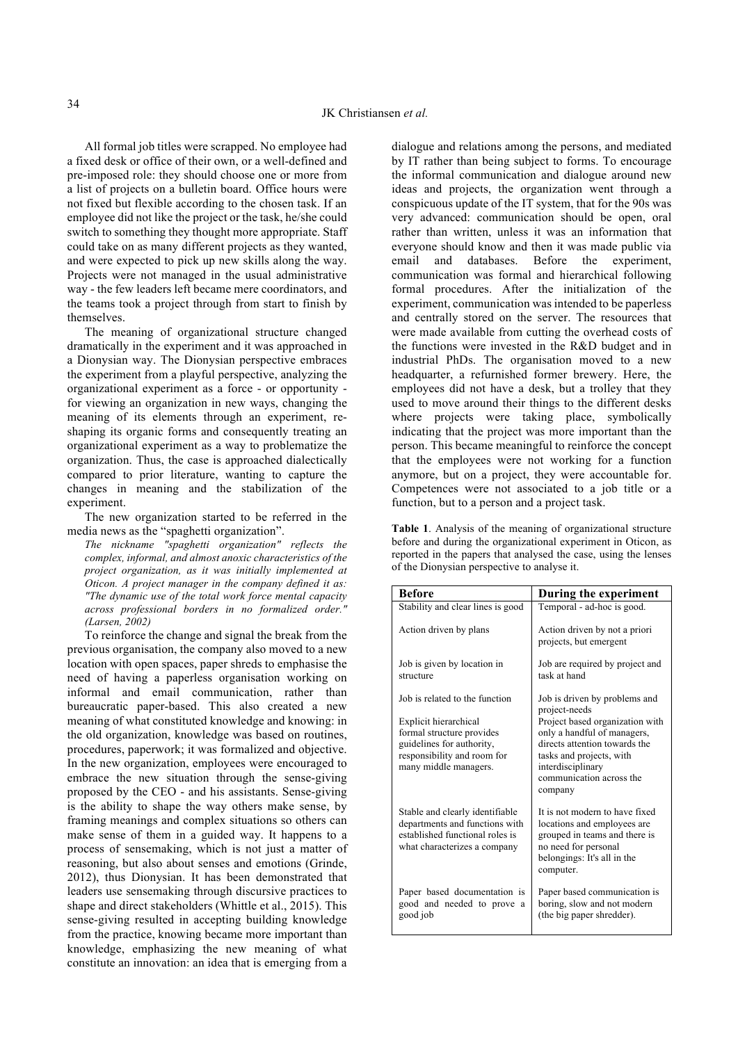All formal job titles were scrapped. No employee had a fixed desk or office of their own, or a well-defined and pre-imposed role: they should choose one or more from a list of projects on a bulletin board. Office hours were not fixed but flexible according to the chosen task. If an employee did not like the project or the task, he/she could switch to something they thought more appropriate. Staff could take on as many different projects as they wanted, and were expected to pick up new skills along the way. Projects were not managed in the usual administrative way - the few leaders left became mere coordinators, and the teams took a project through from start to finish by themselves.

The meaning of organizational structure changed dramatically in the experiment and it was approached in a Dionysian way. The Dionysian perspective embraces the experiment from a playful perspective, analyzing the organizational experiment as a force - or opportunity for viewing an organization in new ways, changing the meaning of its elements through an experiment, reshaping its organic forms and consequently treating an organizational experiment as a way to problematize the organization. Thus, the case is approached dialectically compared to prior literature, wanting to capture the changes in meaning and the stabilization of the experiment.

The new organization started to be referred in the media news as the "spaghetti organization".

*The nickname "spaghetti organization" reflects the complex, informal, and almost anoxic characteristics of the project organization, as it was initially implemented at Oticon. A project manager in the company defined it as: "The dynamic use of the total work force mental capacity across professional borders in no formalized order." (Larsen, 2002)*

To reinforce the change and signal the break from the previous organisation, the company also moved to a new location with open spaces, paper shreds to emphasise the need of having a paperless organisation working on informal and email communication, rather than bureaucratic paper-based. This also created a new meaning of what constituted knowledge and knowing: in the old organization, knowledge was based on routines, procedures, paperwork; it was formalized and objective. In the new organization, employees were encouraged to embrace the new situation through the sense-giving proposed by the CEO - and his assistants. Sense-giving is the ability to shape the way others make sense, by framing meanings and complex situations so others can make sense of them in a guided way. It happens to a process of sensemaking, which is not just a matter of reasoning, but also about senses and emotions (Grinde, 2012), thus Dionysian. It has been demonstrated that leaders use sensemaking through discursive practices to shape and direct stakeholders (Whittle et al., 2015). This sense-giving resulted in accepting building knowledge from the practice, knowing became more important than knowledge, emphasizing the new meaning of what constitute an innovation: an idea that is emerging from a

dialogue and relations among the persons, and mediated by IT rather than being subject to forms. To encourage the informal communication and dialogue around new ideas and projects, the organization went through a conspicuous update of the IT system, that for the 90s was very advanced: communication should be open, oral rather than written, unless it was an information that everyone should know and then it was made public via email and databases. Before the experiment, communication was formal and hierarchical following formal procedures. After the initialization of the experiment, communication was intended to be paperless and centrally stored on the server. The resources that were made available from cutting the overhead costs of the functions were invested in the R&D budget and in industrial PhDs. The organisation moved to a new headquarter, a refurnished former brewery. Here, the employees did not have a desk, but a trolley that they used to move around their things to the different desks where projects were taking place, symbolically indicating that the project was more important than the person. This became meaningful to reinforce the concept that the employees were not working for a function anymore, but on a project, they were accountable for. Competences were not associated to a job title or a function, but to a person and a project task.

**Table 1**. Analysis of the meaning of organizational structure before and during the organizational experiment in Oticon, as reported in the papers that analysed the case, using the lenses of the Dionysian perspective to analyse it.

| <b>Before</b>                                                                                                                                                             | During the experiment                                                                                                                                                                                                                     |  |
|---------------------------------------------------------------------------------------------------------------------------------------------------------------------------|-------------------------------------------------------------------------------------------------------------------------------------------------------------------------------------------------------------------------------------------|--|
| Stability and clear lines is good                                                                                                                                         | Temporal - ad-hoc is good.                                                                                                                                                                                                                |  |
| Action driven by plans                                                                                                                                                    | Action driven by not a priori<br>projects, but emergent                                                                                                                                                                                   |  |
| Job is given by location in<br>structure                                                                                                                                  | Job are required by project and<br>task at hand                                                                                                                                                                                           |  |
| Job is related to the function<br>Explicit hierarchical<br>formal structure provides<br>guidelines for authority,<br>responsibility and room for<br>many middle managers. | Job is driven by problems and<br>project-needs<br>Project based organization with<br>only a handful of managers,<br>directs attention towards the<br>tasks and projects, with<br>interdisciplinary<br>communication across the<br>company |  |
| Stable and clearly identifiable<br>departments and functions with<br>established functional roles is<br>what characterizes a company                                      | It is not modern to have fixed<br>locations and employees are<br>grouped in teams and there is<br>no need for personal<br>belongings: It's all in the<br>computer.                                                                        |  |
| Paper based documentation is<br>good and needed to prove a<br>good job                                                                                                    | Paper based communication is<br>boring, slow and not modern<br>(the big paper shredder).                                                                                                                                                  |  |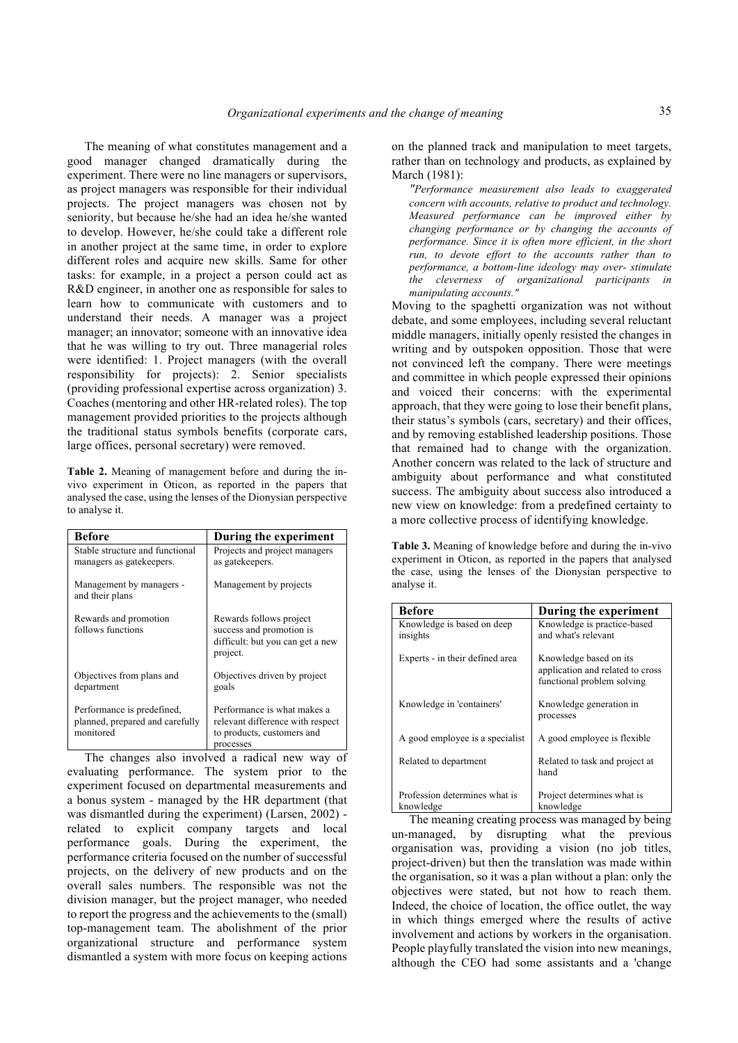The meaning of what constitutes management and a good manager changed dramatically during the experiment. There were no line managers or supervisors, as project managers was responsible for their individual projects. The project managers was chosen not by seniority, but because he/she had an idea he/she wanted to develop. However, he/she could take a different role in another project at the same time, in order to explore different roles and acquire new skills. Same for other tasks: for example, in a project a person could act as R&D engineer, in another one as responsible for sales to learn how to communicate with customers and to understand their needs. A manager was a project manager; an innovator; someone with an innovative idea that he was willing to try out. Three managerial roles were identified: 1. Project managers (with the overall responsibility for projects): 2. Senior specialists (providing professional expertise across organization) 3. Coaches (mentoring and other HR-related roles). The top management provided priorities to the projects although the traditional status symbols benefits (corporate cars, large offices, personal secretary) were removed.

**Table 2.** Meaning of management before and during the invivo experiment in Oticon, as reported in the papers that analysed the case, using the lenses of the Dionysian perspective to analyse it.

| <b>Before</b>                               | During the experiment                                        |  |
|---------------------------------------------|--------------------------------------------------------------|--|
| Stable structure and functional             | Projects and project managers                                |  |
| managers as gatekeepers.                    | as gatekeepers.                                              |  |
| Management by managers -<br>and their plans | Management by projects                                       |  |
| Rewards and promotion                       | Rewards follows project                                      |  |
| follows functions                           | success and promotion is<br>difficult: but you can get a new |  |
|                                             | project.                                                     |  |
| Objectives from plans and                   | Objectives driven by project<br>goals                        |  |
| department                                  |                                                              |  |
| Performance is predefined,                  | Performance is what makes a                                  |  |
| planned, prepared and carefully             | relevant difference with respect                             |  |
| monitored                                   | to products, customers and                                   |  |
|                                             | processes                                                    |  |

The changes also involved a radical new way of evaluating performance. The system prior to the experiment focused on departmental measurements and a bonus system - managed by the HR department (that was dismantled during the experiment) (Larsen, 2002) related to explicit company targets and local performance goals. During the experiment, the performance criteria focused on the number of successful projects, on the delivery of new products and on the overall sales numbers. The responsible was not the division manager, but the project manager, who needed to report the progress and the achievements to the (small) top-management team. The abolishment of the prior organizational structure and performance system dismantled a system with more focus on keeping actions

on the planned track and manipulation to meet targets, rather than on technology and products, as explained by March (1981):

*"Performance measurement also leads to exaggerated concern with accounts, relative to product and technology. Measured performance can be improved either by changing performance or by changing the accounts of performance. Since it is often more efficient, in the short run, to devote effort to the accounts rather than to performance, a bottom-line ideology may over- stimulate the cleverness of organizational participants in manipulating accounts."*

Moving to the spaghetti organization was not without debate, and some employees, including several reluctant middle managers, initially openly resisted the changes in writing and by outspoken opposition. Those that were not convinced left the company. There were meetings and committee in which people expressed their opinions and voiced their concerns: with the experimental approach, that they were going to lose their benefit plans, their status's symbols (cars, secretary) and their offices, and by removing established leadership positions. Those that remained had to change with the organization. Another concern was related to the lack of structure and ambiguity about performance and what constituted success. The ambiguity about success also introduced a new view on knowledge: from a predefined certainty to a more collective process of identifying knowledge.

**Table 3.** Meaning of knowledge before and during the in-vivo experiment in Oticon, as reported in the papers that analysed the case, using the lenses of the Dionysian perspective to analyse it.

| <b>Before</b>                   | During the experiment                  |  |  |
|---------------------------------|----------------------------------------|--|--|
| Knowledge is based on deep      | Knowledge is practice-based            |  |  |
| insights                        | and what's relevant                    |  |  |
| Experts - in their defined area | Knowledge based on its                 |  |  |
|                                 | application and related to cross       |  |  |
|                                 | functional problem solving             |  |  |
| Knowledge in 'containers'       | Knowledge generation in                |  |  |
|                                 | processes                              |  |  |
| A good employee is a specialist | A good employee is flexible.           |  |  |
|                                 |                                        |  |  |
| Related to department           | Related to task and project at<br>hand |  |  |
|                                 |                                        |  |  |
| Profession determines what is   | Project determines what is             |  |  |
| knowledge                       | knowledge                              |  |  |

The meaning creating process was managed by being un-managed, by disrupting what the previous organisation was, providing a vision (no job titles, project-driven) but then the translation was made within the organisation, so it was a plan without a plan: only the objectives were stated, but not how to reach them. Indeed, the choice of location, the office outlet, the way in which things emerged where the results of active involvement and actions by workers in the organisation. People playfully translated the vision into new meanings, although the CEO had some assistants and a 'change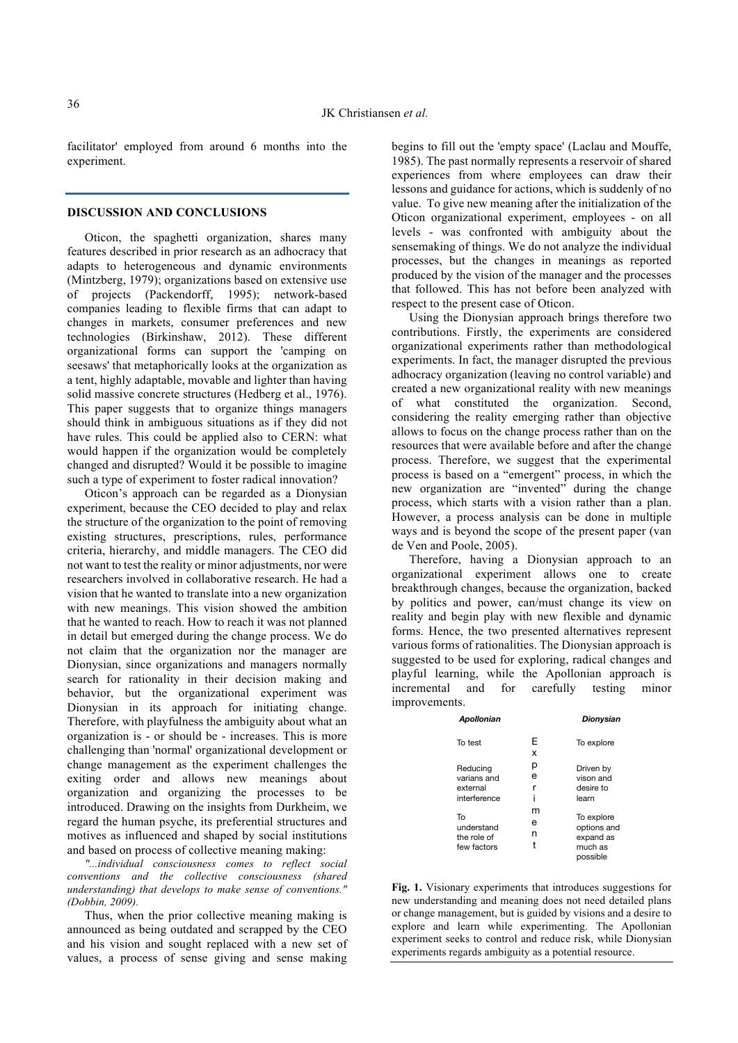facilitator' employed from around 6 months into the experiment.

# **DISCUSSION AND CONCLUSIONS**

Oticon, the spaghetti organization, shares many features described in prior research as an adhocracy that adapts to heterogeneous and dynamic environments (Mintzberg, 1979); organizations based on extensive use of projects (Packendorff, 1995); network-based companies leading to flexible firms that can adapt to changes in markets, consumer preferences and new technologies (Birkinshaw, 2012). These different organizational forms can support the 'camping on seesaws' that metaphorically looks at the organization as a tent, highly adaptable, movable and lighter than having solid massive concrete structures (Hedberg et al., 1976). This paper suggests that to organize things managers should think in ambiguous situations as if they did not have rules. This could be applied also to CERN: what would happen if the organization would be completely changed and disrupted? Would it be possible to imagine such a type of experiment to foster radical innovation?

Oticon's approach can be regarded as a Dionysian experiment, because the CEO decided to play and relax the structure of the organization to the point of removing existing structures, prescriptions, rules, performance criteria, hierarchy, and middle managers. The CEO did not want to test the reality or minor adjustments, nor were researchers involved in collaborative research. He had a vision that he wanted to translate into a new organization with new meanings. This vision showed the ambition that he wanted to reach. How to reach it was not planned in detail but emerged during the change process. We do not claim that the organization nor the manager are Dionysian, since organizations and managers normally search for rationality in their decision making and behavior, but the organizational experiment was Dionysian in its approach for initiating change. Therefore, with playfulness the ambiguity about what an organization is - or should be - increases. This is more challenging than 'normal' organizational development or change management as the experiment challenges the exiting order and allows new meanings about organization and organizing the processes to be introduced. Drawing on the insights from Durkheim, we regard the human psyche, its preferential structures and motives as influenced and shaped by social institutions and based on process of collective meaning making:

*"...individual consciousness comes to reflect social conventions and the collective consciousness (shared understanding) that develops to make sense of conventions." (Dobbin, 2009).* 

Thus, when the prior collective meaning making is announced as being outdated and scrapped by the CEO and his vision and sought replaced with a new set of values, a process of sense giving and sense making begins to fill out the 'empty space' (Laclau and Mouffe, 1985). The past normally represents a reservoir of shared experiences from where employees can draw their lessons and guidance for actions, which is suddenly of no value. To give new meaning after the initialization of the Oticon organizational experiment, employees - on all levels - was confronted with ambiguity about the sensemaking of things. We do not analyze the individual processes, but the changes in meanings as reported produced by the vision of the manager and the processes that followed. This has not before been analyzed with respect to the present case of Oticon.

Using the Dionysian approach brings therefore two contributions. Firstly, the experiments are considered organizational experiments rather than methodological experiments. In fact, the manager disrupted the previous adhocracy organization (leaving no control variable) and created a new organizational reality with new meanings of what constituted the organization. Second, considering the reality emerging rather than objective allows to focus on the change process rather than on the resources that were available before and after the change process. Therefore, we suggest that the experimental process is based on a "emergent" process, in which the new organization are "invented" during the change process, which starts with a vision rather than a plan. However, a process analysis can be done in multiple ways and is beyond the scope of the present paper (van de Ven and Poole, 2005).

Therefore, having a Dionysian approach to an organizational experiment allows one to create breakthrough changes, because the organization, backed by politics and power, can/must change its view on reality and begin play with new flexible and dynamic forms. Hence, the two presented alternatives represent various forms of rationalities. The Dionysian approach is suggested to be used for exploring, radical changes and playful learning, while the Apollonian approach is incremental and for carefully testing minor improvements.

| Apollonian                                          |                  | Dionysian                                                     |
|-----------------------------------------------------|------------------|---------------------------------------------------------------|
| To test                                             | E<br>x           | To explore                                                    |
| Reducing<br>varians and<br>external<br>interference | р<br>e<br>r      | Driven by<br>vison and<br>desire to<br>learn                  |
| To<br>understand<br>the role of<br>few factors      | m<br>e<br>n<br>t | To explore<br>options and<br>expand as<br>much as<br>possible |

**Fig. 1.** Visionary experiments that introduces suggestions for new understanding and meaning does not need detailed plans or change management, but is guided by visions and a desire to explore and learn while experimenting. The Apollonian experiment seeks to control and reduce risk, while Dionysian experiments regards ambiguity as a potential resource.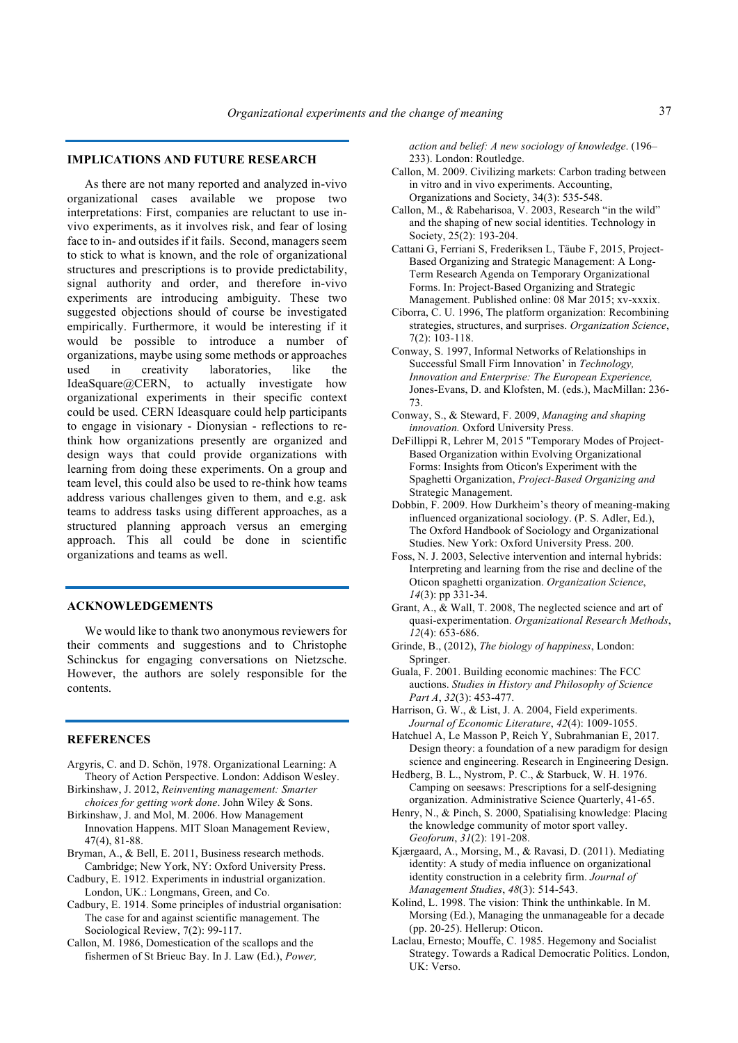#### **IMPLICATIONS AND FUTURE RESEARCH**

As there are not many reported and analyzed in-vivo organizational cases available we propose two interpretations: First, companies are reluctant to use invivo experiments, as it involves risk, and fear of losing face to in- and outsides if it fails. Second, managers seem to stick to what is known, and the role of organizational structures and prescriptions is to provide predictability, signal authority and order, and therefore in-vivo experiments are introducing ambiguity. These two suggested objections should of course be investigated empirically. Furthermore, it would be interesting if it would be possible to introduce a number of organizations, maybe using some methods or approaches used in creativity laboratories, like the IdeaSquare@CERN, to actually investigate how organizational experiments in their specific context could be used. CERN Ideasquare could help participants to engage in visionary - Dionysian - reflections to rethink how organizations presently are organized and design ways that could provide organizations with learning from doing these experiments. On a group and team level, this could also be used to re-think how teams address various challenges given to them, and e.g. ask teams to address tasks using different approaches, as a structured planning approach versus an emerging approach. This all could be done in scientific organizations and teams as well.

# **ACKNOWLEDGEMENTS**

We would like to thank two anonymous reviewers for their comments and suggestions and to Christophe Schinckus for engaging conversations on Nietzsche. However, the authors are solely responsible for the contents.

### **REFERENCES**

- Argyris, C. and D. Schön, 1978. Organizational Learning: A Theory of Action Perspective. London: Addison Wesley.
- Birkinshaw, J. 2012, *Reinventing management: Smarter choices for getting work done*. John Wiley & Sons.
- Birkinshaw, J. and Mol, M. 2006. How Management Innovation Happens. MIT Sloan Management Review, 47(4), 81-88.
- Bryman, A., & Bell, E. 2011, Business research methods. Cambridge; New York, NY: Oxford University Press.
- Cadbury, E. 1912. Experiments in industrial organization. London, UK.: Longmans, Green, and Co.
- Cadbury, E. 1914. Some principles of industrial organisation: The case for and against scientific management. The Sociological Review, 7(2): 99-117.
- Callon, M. 1986, Domestication of the scallops and the fishermen of St Brieuc Bay. In J. Law (Ed.), *Power,*

*action and belief: A new sociology of knowledge*. (196– 233). London: Routledge.

- Callon, M. 2009. Civilizing markets: Carbon trading between in vitro and in vivo experiments. Accounting, Organizations and Society, 34(3): 535-548.
- Callon, M., & Rabeharisoa, V. 2003, Research "in the wild" and the shaping of new social identities. Technology in Society, 25(2): 193-204.
- Cattani G, Ferriani S, Frederiksen L, Täube F, 2015, Project-Based Organizing and Strategic Management: A Long-Term Research Agenda on Temporary Organizational Forms. In: Project-Based Organizing and Strategic Management. Published online: 08 Mar 2015; xv-xxxix.
- Ciborra, C. U. 1996, The platform organization: Recombining strategies, structures, and surprises. *Organization Science*, 7(2): 103-118.
- Conway, S. 1997, Informal Networks of Relationships in Successful Small Firm Innovation' in *Technology, Innovation and Enterprise: The European Experience,* Jones-Evans, D. and Klofsten, M. (eds.), MacMillan: 236- 73.
- Conway, S., & Steward, F. 2009, *Managing and shaping innovation.* Oxford University Press.
- DeFillippi R, Lehrer M, 2015 "Temporary Modes of Project-Based Organization within Evolving Organizational Forms: Insights from Oticon's Experiment with the Spaghetti Organization, *Project-Based Organizing and*  Strategic Management.
- Dobbin, F. 2009. How Durkheim's theory of meaning-making influenced organizational sociology. (P. S. Adler, Ed.), The Oxford Handbook of Sociology and Organizational Studies. New York: Oxford University Press. 200.
- Foss, N. J. 2003, Selective intervention and internal hybrids: Interpreting and learning from the rise and decline of the Oticon spaghetti organization. *Organization Science*, *14*(3): pp 331-34.
- Grant, A., & Wall, T. 2008, The neglected science and art of quasi-experimentation. *Organizational Research Methods*, *12*(4): 653-686.
- Grinde, B., (2012), *The biology of happiness*, London: Springer.
- Guala, F. 2001. Building economic machines: The FCC auctions. *Studies in History and Philosophy of Science Part A*, *32*(3): 453-477.
- Harrison, G. W., & List, J. A. 2004, Field experiments. *Journal of Economic Literature*, *42*(4): 1009-1055.
- Hatchuel A, Le Masson P, Reich Y, Subrahmanian E, 2017. Design theory: a foundation of a new paradigm for design science and engineering. Research in Engineering Design.
- Hedberg, B. L., Nystrom, P. C., & Starbuck, W. H. 1976. Camping on seesaws: Prescriptions for a self-designing organization. Administrative Science Quarterly, 41-65.
- Henry, N., & Pinch, S. 2000, Spatialising knowledge: Placing the knowledge community of motor sport valley. *Geoforum*, *31*(2): 191-208.
- Kjærgaard, A., Morsing, M., & Ravasi, D. (2011). Mediating identity: A study of media influence on organizational identity construction in a celebrity firm. *Journal of Management Studies*, *48*(3): 514-543.
- Kolind, L. 1998. The vision: Think the unthinkable. In M. Morsing (Ed.), Managing the unmanageable for a decade (pp. 20-25). Hellerup: Oticon.
- Laclau, Ernesto; Mouffe, C. 1985. Hegemony and Socialist Strategy. Towards a Radical Democratic Politics. London, UK: Verso.